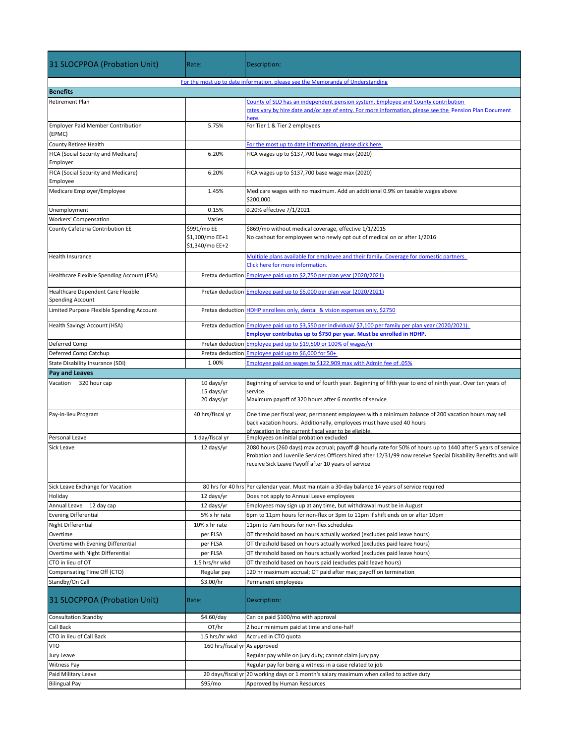| 31 SLOCPPOA (Probation Unit)                                                   | Rate:                                             | Description:                                                                                                                                                                                                                                                                          |  |
|--------------------------------------------------------------------------------|---------------------------------------------------|---------------------------------------------------------------------------------------------------------------------------------------------------------------------------------------------------------------------------------------------------------------------------------------|--|
| For the most up to date information, please see the Memoranda of Understanding |                                                   |                                                                                                                                                                                                                                                                                       |  |
| <b>Benefits</b>                                                                |                                                   |                                                                                                                                                                                                                                                                                       |  |
| <b>Retirement Plan</b>                                                         |                                                   | County of SLO has an independent pension system. Employee and County contribution<br>rates vary by hire date and/or age of entry. For more information, please see the Pension Plan Document<br>iere.                                                                                 |  |
| <b>Employer Paid Member Contribution</b><br>(EPMC)                             | 5.75%                                             | For Tier 1 & Tier 2 employees                                                                                                                                                                                                                                                         |  |
| <b>County Retiree Health</b>                                                   |                                                   | For the most up to date information, please click here.                                                                                                                                                                                                                               |  |
| FICA (Social Security and Medicare)                                            | 6.20%                                             | FICA wages up to \$137,700 base wage max (2020)                                                                                                                                                                                                                                       |  |
| Employer                                                                       |                                                   |                                                                                                                                                                                                                                                                                       |  |
| FICA (Social Security and Medicare)<br>Employee                                | 6.20%                                             | FICA wages up to \$137,700 base wage max (2020)                                                                                                                                                                                                                                       |  |
| Medicare Employer/Employee                                                     | 1.45%                                             | Medicare wages with no maximum. Add an additional 0.9% on taxable wages above<br>\$200,000.                                                                                                                                                                                           |  |
| Unemployment                                                                   | 0.15%                                             | 0.20% effective 7/1/2021                                                                                                                                                                                                                                                              |  |
| Workers' Compensation                                                          | Varies                                            |                                                                                                                                                                                                                                                                                       |  |
| County Cafeteria Contribution EE                                               | \$991/mo EE<br>\$1,100/mo EE+1<br>\$1,340/mo EE+2 | \$869/mo without medical coverage, effective 1/1/2015<br>No cashout for employees who newly opt out of medical on or after 1/2016                                                                                                                                                     |  |
| <b>Health Insurance</b>                                                        |                                                   | Multiple plans available for employee and their family. Coverage for domestic partners.                                                                                                                                                                                               |  |
|                                                                                |                                                   | Click here for more information.                                                                                                                                                                                                                                                      |  |
| Healthcare Flexible Spending Account (FSA)                                     |                                                   | Pretax deduction Employee paid up to \$2,750 per plan year (2020/2021)                                                                                                                                                                                                                |  |
| Healthcare Dependent Care Flexible<br><b>Spending Account</b>                  |                                                   | Pretax deduction Employee paid up to \$5,000 per plan year (2020/2021)                                                                                                                                                                                                                |  |
| Limited Purpose Flexible Spending Account                                      |                                                   | Pretax deduction HDHP enrollees only, dental & vision expenses only, \$2750                                                                                                                                                                                                           |  |
| Health Savings Account (HSA)                                                   |                                                   | Pretax deduction Employee paid up to \$3,550 per individual/ \$7,100 per family per plan year (2020/2021).<br>Employer contributes up to \$750 per year. Must be enrolled in HDHP.                                                                                                    |  |
| Deferred Comp                                                                  |                                                   | Pretax deduction Employee paid up to \$19,500 or 100% of wages/yr                                                                                                                                                                                                                     |  |
| Deferred Comp Catchup                                                          | Pretax deduction                                  | Employee paid up to \$6,000 for 50+                                                                                                                                                                                                                                                   |  |
| State Disability Insurance (SDI)                                               | 1.00%                                             | Employee paid on wages to \$122,909 max with Admin fee of .05%                                                                                                                                                                                                                        |  |
| Pay and Leaves                                                                 |                                                   |                                                                                                                                                                                                                                                                                       |  |
| Vacation 320 hour cap                                                          | 10 days/yr<br>15 days/yr<br>20 days/yr            | Beginning of service to end of fourth year. Beginning of fifth year to end of ninth year. Over ten years of<br>service.<br>Maximum payoff of 320 hours after 6 months of service                                                                                                      |  |
| Pay-in-lieu Program                                                            | 40 hrs/fiscal yr                                  | One time per fiscal year, permanent employees with a minimum balance of 200 vacation hours may sell<br>back vacation hours. Additionally, employees must have used 40 hours<br>of vacation in the current fiscal vear to be eligible.                                                 |  |
| Personal Leave                                                                 | 1 day/fiscal yr                                   | Employees on initial probation excluded                                                                                                                                                                                                                                               |  |
| Sick Leave                                                                     | 12 days/yr                                        | 2080 hours (260 days) max accrual; payoff @ hourly rate for 50% of hours up to 1440 after 5 years of service<br>Probation and Juvenile Services Officers hired after 12/31/99 now receive Special Disability Benefits and will<br>receive Sick Leave Payoff after 10 years of service |  |
| Sick Leave Exchange for Vacation                                               |                                                   | 80 hrs for 40 hrs Per calendar year. Must maintain a 30-day balance 14 years of service required                                                                                                                                                                                      |  |
| Holiday                                                                        | 12 days/yr                                        | Does not apply to Annual Leave employees                                                                                                                                                                                                                                              |  |
| Annual Leave 12 day cap                                                        | 12 days/yr                                        | Employees may sign up at any time, but withdrawal must be in August                                                                                                                                                                                                                   |  |
| <b>Evening Differential</b>                                                    | 5% x hr rate                                      | 6pm to 11pm hours for non-flex or 3pm to 11pm if shift ends on or after 10pm                                                                                                                                                                                                          |  |
| Night Differential                                                             | 10% x hr rate                                     | 11pm to 7am hours for non-flex schedules                                                                                                                                                                                                                                              |  |
| Overtime                                                                       | per FLSA                                          | OT threshold based on hours actually worked (excludes paid leave hours)                                                                                                                                                                                                               |  |
| Overtime with Evening Differential                                             | per FLSA                                          | OT threshold based on hours actually worked (excludes paid leave hours)                                                                                                                                                                                                               |  |
| Overtime with Night Differential                                               | per FLSA                                          | OT threshold based on hours actually worked (excludes paid leave hours)                                                                                                                                                                                                               |  |
| CTO in lieu of OT                                                              | 1.5 hrs/hr wkd                                    | OT threshold based on hours paid (excludes paid leave hours)                                                                                                                                                                                                                          |  |
| Compensating Time Off (CTO)                                                    | Regular pay                                       | 120 hr maximum accrual; OT paid after max; payoff on termination                                                                                                                                                                                                                      |  |
| Standby/On Call                                                                | \$3.00/hr                                         | Permanent employees                                                                                                                                                                                                                                                                   |  |
| 31 SLOCPPOA (Probation Unit)                                                   | Rate:                                             | Description:                                                                                                                                                                                                                                                                          |  |
| <b>Consultation Standby</b>                                                    | \$4.60/day                                        | Can be paid \$100/mo with approval                                                                                                                                                                                                                                                    |  |
| Call Back                                                                      | OT/hr                                             | 2 hour minimum paid at time and one-half                                                                                                                                                                                                                                              |  |
| CTO in lieu of Call Back                                                       | 1.5 hrs/hr wkd                                    | Accrued in CTO quota                                                                                                                                                                                                                                                                  |  |
| <b>VTO</b>                                                                     | 160 hrs/fiscal yr As approved                     |                                                                                                                                                                                                                                                                                       |  |
| Jury Leave                                                                     |                                                   | Regular pay while on jury duty; cannot claim jury pay                                                                                                                                                                                                                                 |  |
| <b>Witness Pay</b>                                                             |                                                   | Regular pay for being a witness in a case related to job                                                                                                                                                                                                                              |  |
| Paid Military Leave                                                            | 20 days/fiscal yr                                 | 20 working days or 1 month's salary maximum when called to active duty                                                                                                                                                                                                                |  |
| <b>Bilingual Pay</b>                                                           | \$95/mo                                           | Approved by Human Resources                                                                                                                                                                                                                                                           |  |